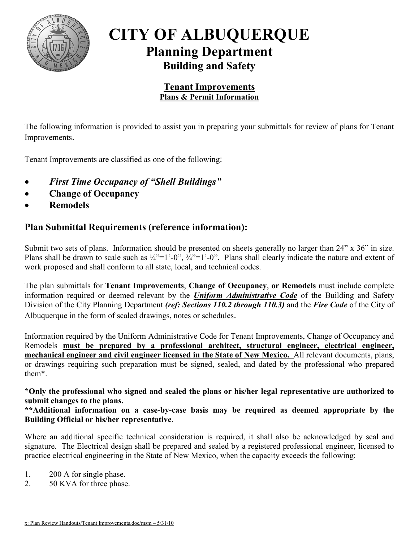

# **CITY OF ALBUQUERQUE Planning Department Building and Safety**

#### **Tenant Improvements Plans & Permit Information**

The following information is provided to assist you in preparing your submittals for review of plans for Tenant Improvements.

Tenant Improvements are classified as one of the following:

- *First Time Occupancy of "Shell Buildings"*
- **Change of Occupancy**
- **Remodels**

### **Plan Submittal Requirements (reference information):**

Submit two sets of plans. Information should be presented on sheets generally no larger than 24" x 36" in size. Plans shall be drawn to scale such as  $\frac{1}{4}$ "=1'-0",  $\frac{3}{4}$ "=1'-0". Plans shall clearly indicate the nature and extent of work proposed and shall conform to all state, local, and technical codes.

The plan submittals for **Tenant Improvements**, **Change of Occupancy**, **or Remodels** must include complete information required or deemed relevant by the *Uniform Administrative Code* of the Building and Safety Division of the City Planning Department *(ref: Sections 110.2 through 110.3)* and the *Fire Code* of the City of Albuquerque in the form of scaled drawings, notes or schedules.

Information required by the Uniform Administrative Code for Tenant Improvements, Change of Occupancy and Remodels **must be prepared by a professional architect, structural engineer, electrical engineer, mechanical engineer and civil engineer licensed in the State of New Mexico.** All relevant documents, plans, or drawings requiring such preparation must be signed, sealed, and dated by the professional who prepared them\*.

**\*Only the professional who signed and sealed the plans or his/her legal representative are authorized to submit changes to the plans.** 

**\*\*Additional information on a case-by-case basis may be required as deemed appropriate by the Building Official or his/her representative**.

Where an additional specific technical consideration is required, it shall also be acknowledged by seal and signature. The Electrical design shall be prepared and sealed by a registered professional engineer, licensed to practice electrical engineering in the State of New Mexico, when the capacity exceeds the following:

- 1. 200 A for single phase.
- 2. 50 KVA for three phase.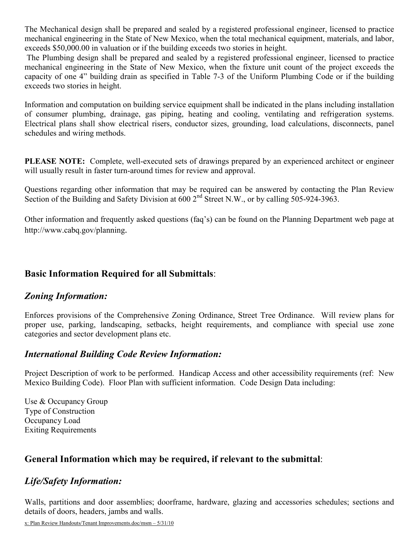The Mechanical design shall be prepared and sealed by a registered professional engineer, licensed to practice mechanical engineering in the State of New Mexico, when the total mechanical equipment, materials, and labor, exceeds \$50,000.00 in valuation or if the building exceeds two stories in height.

 The Plumbing design shall be prepared and sealed by a registered professional engineer, licensed to practice mechanical engineering in the State of New Mexico, when the fixture unit count of the project exceeds the capacity of one 4" building drain as specified in Table 7-3 of the Uniform Plumbing Code or if the building exceeds two stories in height.

Information and computation on building service equipment shall be indicated in the plans including installation of consumer plumbing, drainage, gas piping, heating and cooling, ventilating and refrigeration systems. Electrical plans shall show electrical risers, conductor sizes, grounding, load calculations, disconnects, panel schedules and wiring methods.

**PLEASE NOTE:** Complete, well-executed sets of drawings prepared by an experienced architect or engineer will usually result in faster turn-around times for review and approval.

Questions regarding other information that may be required can be answered by contacting the Plan Review Section of the Building and Safety Division at 600 2<sup>nd</sup> Street N.W., or by calling 505-924-3963.

Other information and frequently asked questions (faq's) can be found on the Planning Department web page at http://www.cabq.gov/planning.

## **Basic Information Required for all Submittals**:

## *Zoning Information:*

Enforces provisions of the Comprehensive Zoning Ordinance, Street Tree Ordinance. Will review plans for proper use, parking, landscaping, setbacks, height requirements, and compliance with special use zone categories and sector development plans etc.

## *International Building Code Review Information:*

Project Description of work to be performed. Handicap Access and other accessibility requirements (ref: New Mexico Building Code). Floor Plan with sufficient information. Code Design Data including:

Use & Occupancy Group Type of Construction Occupancy Load Exiting Requirements

## **General Information which may be required, if relevant to the submittal**:

## *Life/Safety Information:*

Walls, partitions and door assemblies; doorframe, hardware, glazing and accessories schedules; sections and details of doors, headers, jambs and walls.

x: Plan Review Handouts/Tenant Improvements.doc/msm – 5/31/10